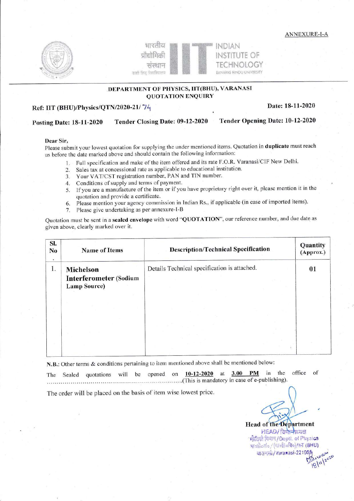ANNEXURE-I-A



 $\cup$  I l $\cup$ प्रोद्योगिकी सस्थान aish fac forefacters



INSTITUTE OF TECHNOLOGY BANARAS HINDU UNIVERSITY

### ,DEPARTMENT OF PHYSICS, IIT(BHU), VARANASI QUOTATION ENQUIRY

Ref: IIT (BHU)/Physics/QTN/2020-21/74

Date: 18-11-2020

### posting Date: L8-11-2020 Tender Closing Date: 09-12-2020 Tender Opening Date: 10-12-2020

### Dear Sir,

please submit your lowest quotation for supplying the under mentioned items. Quotation in duplicate must reach us before the date marked above and should contain the following inforrnation:

- 1. Full specification and make of the item offered and its rate F.O.R. Varanasi/CIF New Delhi.<br>2. Sales tax at concessional rate as applicable to educational institution.
- 2. Sales tax at concessional rate as applicable to educational institution.<br>3. Your VAT/CST registration number, PAN and TIN number.
- Your VAT/CST registration number, PAN and TIN number.
- 4. Conditions of supply and terms of payment.
- 5. If you are a manuiacture of the item or if you have proprietary right over it, please mention it in the quotation and provide a certificate.
- 6. Please mention your agency commission in Indian Rs., if applicable (in case of imported items).
- Please give undertaking as per annexure-I-B

Quotation must be sent in a sealed envelope with word "QUOTATION", our reference number, and due date as given above, clearly marked over it.

| SI.<br>N <sub>0</sub><br>$\bullet$ | <b>Name of Items</b>                                              | <b>Description/Technical Specification</b>   | Quantity<br>(Approx.)<br>01 |
|------------------------------------|-------------------------------------------------------------------|----------------------------------------------|-----------------------------|
| 1.                                 | Michelson<br><b>Interferometer (Sodium</b><br><b>Lamp Source)</b> | Details Technical specification is attached. |                             |
|                                    |                                                                   |                                              |                             |
|                                    |                                                                   |                                              |                             |

N.B.: Other terms & conditions pertaining to item mentioned above shall be mentioned below:

The Sealed quotations will be opened on 10-12-2020 at 3.00 PM in the office of ..(This is mandatory in case of e-publishing).

The order will be placed on the basis of item wise lowest price.

**Head of the Department** 

श्रीदिकी विभाग/Deptt. of Physics মা $\alpha$ মীত্ৰ্যাত $/$ (ফা $\alpha$ ন্তিতবিত)/াৰ্দা (BHU) at civitil / Varanasi-22100/

HEAD/ विभेचाध्यक्ष

18/11/2020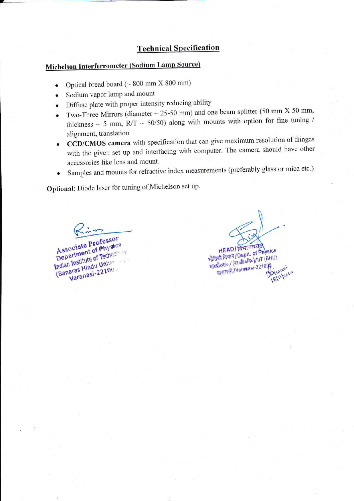## **Technical Specification**

# Michelson Interferrometer (Sodium Lamp Source)

- Optical bread board (~ 800 mm X 800 mm)  $\bullet$
- Sodium vapor lamp and mount  $\bullet$
- Diffuse plate with proper intensity reducing ability  $\bullet$
- Two-Three Mirrors (diameter  $\sim$  25-50 mm) and one beam splitter (50 mm X 50 mm,  $\bullet$ thickness ~ 5 mm,  $R/T \sim 50/50$ ) along with mounts with option for fine tuning / alignment, translation
- CCD/CMOS camera with specification that can give maximum resolution of fringes  $\bullet$ with the given set up and interfacing with computer. The camera should have other accessories like lens and mount.
- Samples and mounts for refractive index measurements (preferably glass or mica etc.)  $\bullet$

Optional: Diode laser for tuning of Michelson set up.

Associate Professor Department of Physics Indian Institute of Technology (Banaras Hindu University Varanasi-22100

**HEAD/ POHITTERIES** भौतिकी विभाग / Deptt. of Physics भावप्रीव्सं०/(कार्बरे बीव)/HT (BHU) वाराणसी/Varanasi-221001 18/11/2020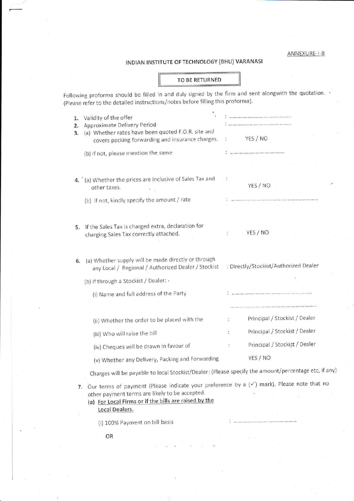ANNEXURE-I-B

## INDIAN INSTITUTE OF TECHNOLOGY (BHU) VARANASI

### TO BE RETURNED

Following proforma should be filled in and duly signed by the firm and sent alongwith the quotation. (Please refer to the detailed instructions/notes before filling this proforma).

| 1.<br>2.<br>3. | Validity of the offer<br>Approximate Delivery Period<br>(a) Whether rates have been quoted F.O.R. site and<br>covers packing forwarding and insurance charges. |                                       | YES / NO                                                                                                                                                                                                                                                                                                                           |                               |  |
|----------------|----------------------------------------------------------------------------------------------------------------------------------------------------------------|---------------------------------------|------------------------------------------------------------------------------------------------------------------------------------------------------------------------------------------------------------------------------------------------------------------------------------------------------------------------------------|-------------------------------|--|
|                | (b) If not, please mention the same                                                                                                                            |                                       | :                                                                                                                                                                                                                                                                                                                                  |                               |  |
|                |                                                                                                                                                                |                                       |                                                                                                                                                                                                                                                                                                                                    |                               |  |
|                | 4. (a) Whether the prices are inclusive of Sales Tax and<br>other taxes.                                                                                       |                                       | YES / NO                                                                                                                                                                                                                                                                                                                           |                               |  |
|                | (b) If not, kindly specify the amount / rate                                                                                                                   |                                       |                                                                                                                                                                                                                                                                                                                                    |                               |  |
|                |                                                                                                                                                                |                                       |                                                                                                                                                                                                                                                                                                                                    |                               |  |
| 5.             | If the Sales Tax is charged extra, declaration for<br>charging Sales Tax correctly attached.                                                                   |                                       | YES / NO                                                                                                                                                                                                                                                                                                                           |                               |  |
| 6.             | (a) Whether supply will be made directly or through<br>any Local / Regional / Authorized Dealer / Stockist                                                     | : Directly/Stockist/Authorized Dealer |                                                                                                                                                                                                                                                                                                                                    |                               |  |
|                | (b) If through a Stockist / Dealer: -                                                                                                                          |                                       |                                                                                                                                                                                                                                                                                                                                    |                               |  |
|                | (i) Name and full address of the Party                                                                                                                         |                                       |                                                                                                                                                                                                                                                                                                                                    |                               |  |
|                |                                                                                                                                                                |                                       |                                                                                                                                                                                                                                                                                                                                    |                               |  |
|                | (ii) Whether the order to be placed with the                                                                                                                   |                                       |                                                                                                                                                                                                                                                                                                                                    | Principal / Stockist / Dealer |  |
|                | (iii) Who will raise the bill                                                                                                                                  |                                       |                                                                                                                                                                                                                                                                                                                                    | Principal / Stockist / Dealer |  |
|                | (iv) Cheques will be drawn in favour of                                                                                                                        |                                       |                                                                                                                                                                                                                                                                                                                                    | Principal / Stockist / Dealer |  |
|                | (v) Whether any Delivery, Packing and Forwarding                                                                                                               |                                       | YES / NO                                                                                                                                                                                                                                                                                                                           |                               |  |
|                | Charges will be payable to local Stockist/Dealer: (Please specify the amount/percentage etc, if any)                                                           |                                       |                                                                                                                                                                                                                                                                                                                                    |                               |  |
|                |                                                                                                                                                                |                                       | $\mathbb{Z}$ $\mathbb{Z}$ $\mathbb{Z}$ $\mathbb{Z}$ $\mathbb{Z}$ $\mathbb{Z}$ $\mathbb{Z}$ $\mathbb{Z}$ $\mathbb{Z}$ $\mathbb{Z}$ $\mathbb{Z}$ $\mathbb{Z}$ $\mathbb{Z}$ $\mathbb{Z}$ $\mathbb{Z}$ $\mathbb{Z}$ $\mathbb{Z}$ $\mathbb{Z}$ $\mathbb{Z}$ $\mathbb{Z}$ $\mathbb{Z}$ $\mathbb{Z}$ $\mathbb{Z}$ $\mathbb{Z}$ $\mathbb{$ |                               |  |

7. Our terms of payment (Please indicate your preference by a  $(\checkmark)$  mark). Please note that no other payment terms are likely to be accepted.

(a) For Local Firms or if the bills are raised by the Local Dealers.

(i) 100% Payment on bill basis

OR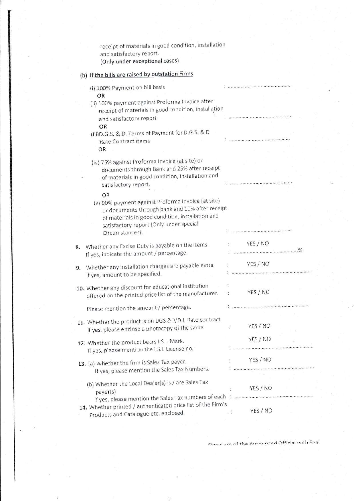| and satisfactory report.<br>(Only under exceptional cases)                                                     | receipt of materials in good condition, installation                                                                                                      |                |                                                                                                            |  |
|----------------------------------------------------------------------------------------------------------------|-----------------------------------------------------------------------------------------------------------------------------------------------------------|----------------|------------------------------------------------------------------------------------------------------------|--|
| (b) If the bills are raised by outstation Firms                                                                |                                                                                                                                                           |                |                                                                                                            |  |
| (i) 100% Payment on bill basis<br>OR                                                                           |                                                                                                                                                           |                |                                                                                                            |  |
| (ii) 100% payment against Proforma Invoice after                                                               | receipt of materials in good condition, installation                                                                                                      |                |                                                                                                            |  |
| and satisfactory report<br>OR                                                                                  |                                                                                                                                                           |                | $\cdots$                                                                                                   |  |
| (iii) D.G.S. & D. Terms of Payment for D.G.S. & D<br>Rate Contract items                                       |                                                                                                                                                           |                | $\ddot{\cdot}$ , the concentration of the concentration of $\dot{\cdot}$                                   |  |
| OR                                                                                                             |                                                                                                                                                           |                |                                                                                                            |  |
| (iv) 75% against Proforma Invoice (at site) or<br>satisfactory report.                                         | documents through Bank and 25% after receipt<br>of materials in good condition, installation and                                                          |                |                                                                                                            |  |
| OR<br>satisfactory report (Only under special<br>Circumstances).                                               | (v) 90% payment against Proforma Invoice (at site)<br>or documents through bank and 10% after receipt<br>of materials in good condition, installation and |                |                                                                                                            |  |
| Whether any Excise Duty is payable on the items.<br>8.<br>If yes, indicate the amount / percentage.            |                                                                                                                                                           |                | YES / NO                                                                                                   |  |
| Whether any installation charges are payable extra.<br>9.<br>If yes, amount to be specified.                   |                                                                                                                                                           |                | YES / NO                                                                                                   |  |
| 10. Whether any discount for educational institution<br>offered on the printed price list of the manufacturer. |                                                                                                                                                           | $\ddot{\cdot}$ | YES / NO                                                                                                   |  |
| Please mention the amount / percentage.                                                                        |                                                                                                                                                           |                |                                                                                                            |  |
| 11. Whether the product is on DGS &D/D.I. Rate contract.<br>If yes, please enclose a photocopy of the same.    |                                                                                                                                                           |                | YES / NO<br>ŧ.                                                                                             |  |
| 12. Whether the product bears I.S.I. Mark.<br>If yes, please mention the I.S.I. License no.                    |                                                                                                                                                           |                | YES / NO<br>$\frac{1}{2}$ , as a concentration of the continuum construction of the contract $\frac{1}{2}$ |  |
| 13. (a) Whether the firm is Sales Tax payer.<br>If yes, please mention the Sales Tax Numbers.                  |                                                                                                                                                           |                | YES / NO                                                                                                   |  |
| (b) Whether the Local Dealer(s) is / are Sales Tax<br>payer(s)                                                 |                                                                                                                                                           |                | YES / NO                                                                                                   |  |
| 14. Whether printed / authenticated price list of the Firm's<br>Products and Catalogue etc. enclosed.          |                                                                                                                                                           | $\sim 70$      | YES / NO                                                                                                   |  |

Cinnature of the Authoricad Official with Seal